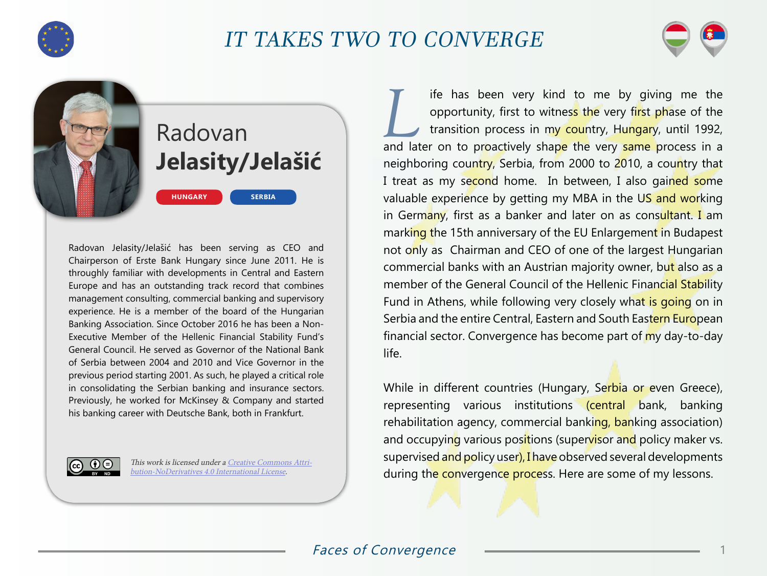

## IT TAKES TWO TO CONVERGE



## Radovan **Jelasity/Jelašić**

**SERBIA**

Radovan Jelasity/Jelašić has been serving as CEO and Chairperson of Erste Bank Hungary since June 2011. He is throughly familiar with developments in Central and Eastern Europe and has an outstanding track record that combines management consulting, commercial banking and supervisory experience. He is a member of the board of the Hungarian Banking Association. Since October 2016 he has been a Non-Executive Member of the Hellenic Financial Stability Fund's General Council. He served as Governor of the National Bank of Serbia between 2004 and 2010 and Vice Governor in the previous period starting 2001. As such, he played a critical role in consolidating the Serbian banking and insurance sectors. Previously, he worked for McKinsey & Company and started his banking career with Deutsche Bank, both in Frankfurt.

**HUNGARY**



This work is licensed under a [Creative Commons Attri](https://creativecommons.org/licenses/by-nd/4.0/)[bution-NoDerivatives 4.0 International License](https://creativecommons.org/licenses/by-nd/4.0/).

If thas been very kind to me by giving me the opportunity, first to witness the very first phase of the transition process in my country, Hungary, until 1992, opportunity, first to witness the very first phase of the and later on to proactively shape the very same process in a neighboring country, Serbia, from 2000 to 2010, a country that I treat as my second home. In between, I also gained some valuable experience by getting my MBA in the US and working in Germany, first as a banker and later on as consultant. I am marking the 15th anniversary of the EU Enlargement in Budapest not only as Chairman and CEO of one of the largest Hungarian commercial banks with an Austrian majority owner, but also as a member of the General Council of the Hellenic Financial Stability Fund in Athens, while following very closely what is going on in Serbia and the entire Central, Eastern and South Eastern European financial sector. Convergence has become part of my day-to-day life.

While in different countries (Hungary, Serbia or even Greece), representing various institutions (central bank, banking rehabilitation agency, commercial banking, banking association) and occupying various positions (supervisor and policy maker vs. supervised and policy user), I have observed several developments during the convergence process. Here are some of my lessons.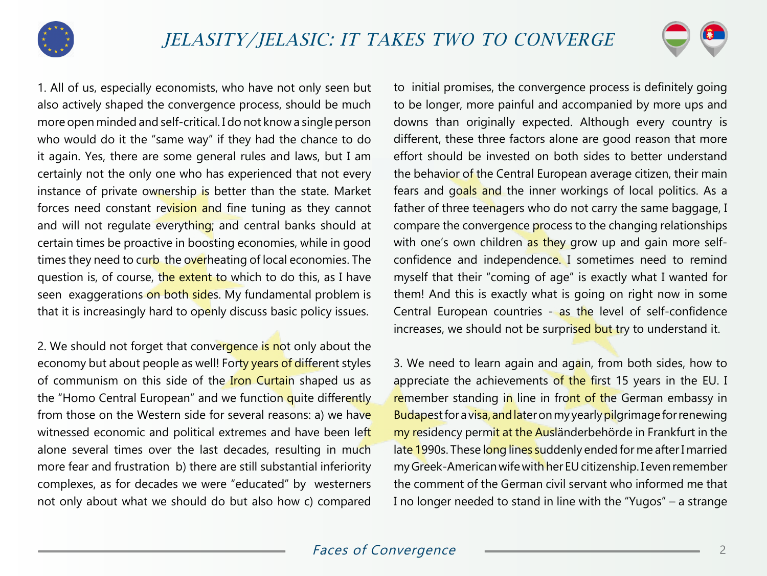



1. All of us, especially economists, who have not only seen but also actively shaped the convergence process, should be much more open minded and self-critical. I do not know a single person who would do it the "same way" if they had the chance to do it again. Yes, there are some general rules and laws, but I am certainly not the only one who has experienced that not every instance of private ownership is better than the state. Market forces need constant revision and fine tuning as they cannot and will not regulate everything; and central banks should at certain times be proactive in boosting economies, while in good times they need to curb the overheating of local economies. The question is, of course, the extent to which to do this, as I have seen exaggerations on both sides. My fundamental problem is that it is increasingly hard to openly discuss basic policy issues.

2. We should not forget that convergence is not only about the economy but about people as well! Forty years of different styles of communism on this side of the Iron Curtain shaped us as the "Homo Central European" and we function quite differently from those on the Western side for several reasons: a) we have witnessed economic and political extremes and have been left alone several times over the last decades, resulting in much more fear and frustration b) there are still substantial inferiority complexes, as for decades we were "educated" by westerners not only about what we should do but also how c) compared to initial promises, the convergence process is definitely going to be longer, more painful and accompanied by more ups and downs than originally expected. Although every country is different, these three factors alone are good reason that more effort should be invested on both sides to better understand the behavior of the Central European average citizen, their main fears and goals and the inner workings of local politics. As a father of three teenagers who do not carry the same baggage, I compare the convergence process to the changing relationships with one's own children as they grow up and gain more selfconfidence and independence. I sometimes need to remind myself that their "coming of age" is exactly what I wanted for them! And this is exactly what is going on right now in some Central European countries - as the level of self-confidence increases, we should not be surprised but try to understand it.

3. We need to learn again and again, from both sides, how to appreciate the achievements of the first 15 years in the EU. I remember standing in line in front of the German embassy in Budapest for a visa, and later on my yearly pilgrimage for renewing my residency permit at the Ausländerbehörde in Frankfurt in the late 1990s. These long lines suddenly ended for me after I married my Greek-American wife with her EU citizenship. I even remember the comment of the German civil servant who informed me that I no longer needed to stand in line with the "Yugos" – a strange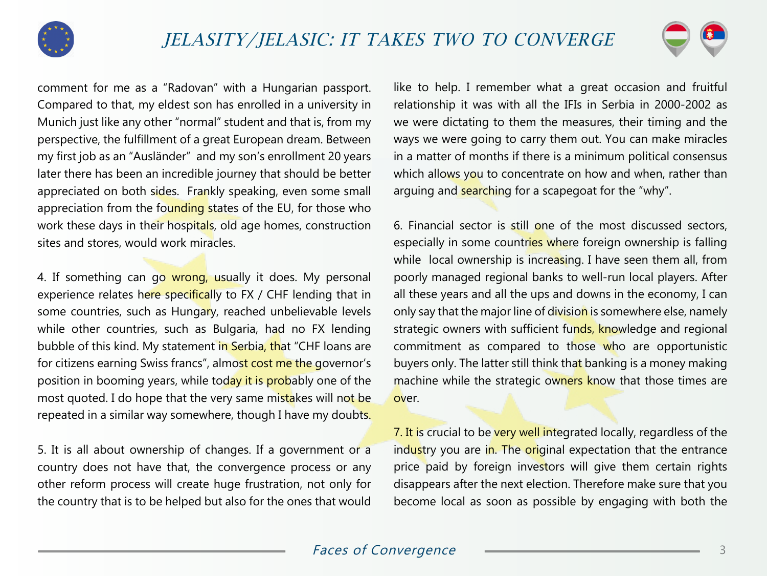



comment for me as a "Radovan" with a Hungarian passport. Compared to that, my eldest son has enrolled in a university in Munich just like any other "normal" student and that is, from my perspective, the fulfillment of a great European dream. Between my first job as an "Ausländer" and my son's enrollment 20 years later there has been an incredible journey that should be better appreciated on both sides. Frankly speaking, even some small appreciation from the founding states of the EU, for those who work these days in their hospitals, old age homes, construction sites and stores, would work miracles.

4. If something can go wrong, usually it does. My personal experience relates here specifically to FX / CHF lending that in some countries, such as Hungary, reached unbelievable levels while other countries, such as Bulgaria, had no FX lending bubble of this kind. My statement in Serbia, that "CHF loans are for citizens earning Swiss francs", almost cost me the governor's position in booming years, while today it is probably one of the most quoted. I do hope that the very same mistakes will not be repeated in a similar way somewhere, though I have my doubts.

5. It is all about ownership of changes. If a government or a country does not have that, the convergence process or any other reform process will create huge frustration, not only for the country that is to be helped but also for the ones that would

like to help. I remember what a great occasion and fruitful relationship it was with all the IFIs in Serbia in 2000-2002 as we were dictating to them the measures, their timing and the ways we were going to carry them out. You can make miracles in a matter of months if there is a minimum political consensus which allows you to concentrate on how and when, rather than arguing and **searching** for a scapegoat for the "why".

6. Financial sector is still one of the most discussed sectors, especially in some countries where foreign ownership is falling while local ownership is increasing. I have seen them all, from poorly managed regional banks to well-run local players. After all these years and all the ups and downs in the economy, I can only say that the major line of division is somewhere else, namely strategic owners with sufficient funds, knowledge and regional commitment as compared to those who are opportunistic buyers only. The latter still think that banking is a money making machine while the strategic owners know that those times are over.

7. It is crucial to be very well integrated locally, regardless of the industry you are in. The original expectation that the entrance price paid by foreign investors will give them certain rights disappears after the next election. Therefore make sure that you become local as soon as possible by engaging with both the